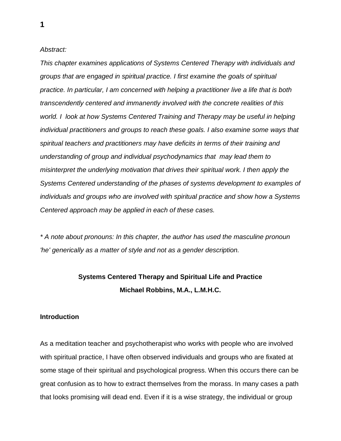## *Abstract:*

*This chapter examines applications of Systems Centered Therapy with individuals and groups that are engaged in spiritual practice. I first examine the goals of spiritual practice. In particular, I am concerned with helping a practitioner live a life that is both transcendently centered and immanently involved with the concrete realities of this world. I look at how Systems Centered Training and Therapy may be useful in helping individual practitioners and groups to reach these goals. I also examine some ways that spiritual teachers and practitioners may have deficits in terms of their training and understanding of group and individual psychodynamics that may lead them to misinterpret the underlying motivation that drives their spiritual work. I then apply the Systems Centered understanding of the phases of systems development to examples of individuals and groups who are involved with spiritual practice and show how a Systems Centered approach may be applied in each of these cases.*

*\* A note about pronouns: In this chapter, the author has used the masculine pronoun 'he' generically as a matter of style and not as a gender description.*

# **Systems Centered Therapy and Spiritual Life and Practice Michael Robbins, M.A., L.M.H.C.**

## **Introduction**

As a meditation teacher and psychotherapist who works with people who are involved with spiritual practice, I have often observed individuals and groups who are fixated at some stage of their spiritual and psychological progress. When this occurs there can be great confusion as to how to extract themselves from the morass. In many cases a path that looks promising will dead end. Even if it is a wise strategy, the individual or group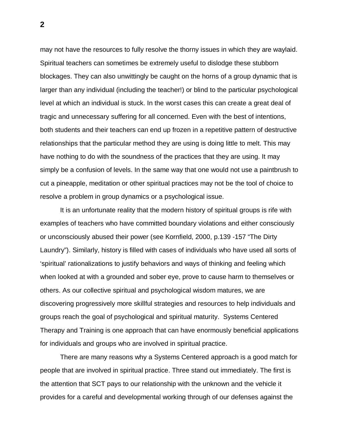may not have the resources to fully resolve the thorny issues in which they are waylaid. Spiritual teachers can sometimes be extremely useful to dislodge these stubborn blockages. They can also unwittingly be caught on the horns of a group dynamic that is larger than any individual (including the teacher!) or blind to the particular psychological level at which an individual is stuck. In the worst cases this can create a great deal of tragic and unnecessary suffering for all concerned. Even with the best of intentions, both students and their teachers can end up frozen in a repetitive pattern of destructive relationships that the particular method they are using is doing little to melt. This may have nothing to do with the soundness of the practices that they are using. It may simply be a confusion of levels. In the same way that one would not use a paintbrush to cut a pineapple, meditation or other spiritual practices may not be the tool of choice to resolve a problem in group dynamics or a psychological issue.

 It is an unfortunate reality that the modern history of spiritual groups is rife with examples of teachers who have committed boundary violations and either consciously or unconsciously abused their power (see Kornfield, 2000, p.139 -157 "The Dirty Laundry"). Similarly, history is filled with cases of individuals who have used all sorts of 'spiritual' rationalizations to justify behaviors and ways of thinking and feeling which when looked at with a grounded and sober eye, prove to cause harm to themselves or others. As our collective spiritual and psychological wisdom matures, we are discovering progressively more skillful strategies and resources to help individuals and groups reach the goal of psychological and spiritual maturity. Systems Centered Therapy and Training is one approach that can have enormously beneficial applications for individuals and groups who are involved in spiritual practice.

 There are many reasons why a Systems Centered approach is a good match for people that are involved in spiritual practice. Three stand out immediately. The first is the attention that SCT pays to our relationship with the unknown and the vehicle it provides for a careful and developmental working through of our defenses against the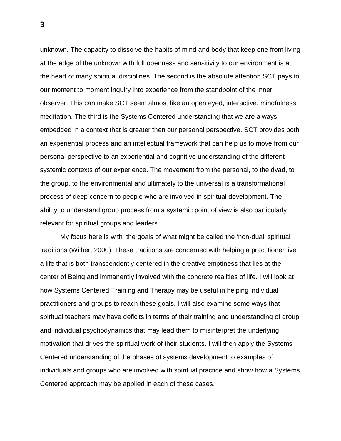unknown. The capacity to dissolve the habits of mind and body that keep one from living at the edge of the unknown with full openness and sensitivity to our environment is at the heart of many spiritual disciplines. The second is the absolute attention SCT pays to our moment to moment inquiry into experience from the standpoint of the inner observer. This can make SCT seem almost like an open eyed, interactive, mindfulness meditation. The third is the Systems Centered understanding that we are always embedded in a context that is greater then our personal perspective. SCT provides both an experiential process and an intellectual framework that can help us to move from our personal perspective to an experiential and cognitive understanding of the different systemic contexts of our experience. The movement from the personal, to the dyad, to the group, to the environmental and ultimately to the universal is a transformational process of deep concern to people who are involved in spiritual development. The ability to understand group process from a systemic point of view is also particularly relevant for spiritual groups and leaders.

 My focus here is with the goals of what might be called the 'non-dual' spiritual traditions (Wilber, 2000). These traditions are concerned with helping a practitioner live a life that is both transcendently centered in the creative emptiness that lies at the center of Being and immanently involved with the concrete realities of life. I will look at how Systems Centered Training and Therapy may be useful in helping individual practitioners and groups to reach these goals. I will also examine some ways that spiritual teachers may have deficits in terms of their training and understanding of group and individual psychodynamics that may lead them to misinterpret the underlying motivation that drives the spiritual work of their students. I will then apply the Systems Centered understanding of the phases of systems development to examples of individuals and groups who are involved with spiritual practice and show how a Systems Centered approach may be applied in each of these cases.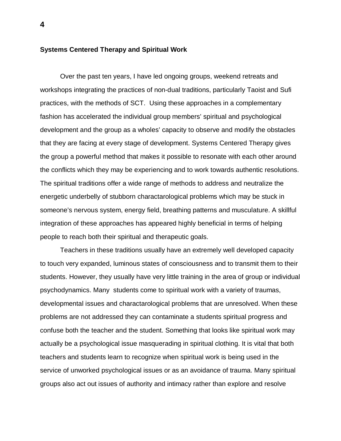#### **Systems Centered Therapy and Spiritual Work**

 Over the past ten years, I have led ongoing groups, weekend retreats and workshops integrating the practices of non-dual traditions, particularly Taoist and Sufi practices, with the methods of SCT. Using these approaches in a complementary fashion has accelerated the individual group members' spiritual and psychological development and the group as a wholes' capacity to observe and modify the obstacles that they are facing at every stage of development. Systems Centered Therapy gives the group a powerful method that makes it possible to resonate with each other around the conflicts which they may be experiencing and to work towards authentic resolutions. The spiritual traditions offer a wide range of methods to address and neutralize the energetic underbelly of stubborn charactarological problems which may be stuck in someone's nervous system, energy field, breathing patterns and musculature. A skillful integration of these approaches has appeared highly beneficial in terms of helping people to reach both their spiritual and therapeutic goals.

 Teachers in these traditions usually have an extremely well developed capacity to touch very expanded, luminous states of consciousness and to transmit them to their students. However, they usually have very little training in the area of group or individual psychodynamics. Many students come to spiritual work with a variety of traumas, developmental issues and charactarological problems that are unresolved. When these problems are not addressed they can contaminate a students spiritual progress and confuse both the teacher and the student. Something that looks like spiritual work may actually be a psychological issue masquerading in spiritual clothing. It is vital that both teachers and students learn to recognize when spiritual work is being used in the service of unworked psychological issues or as an avoidance of trauma. Many spiritual groups also act out issues of authority and intimacy rather than explore and resolve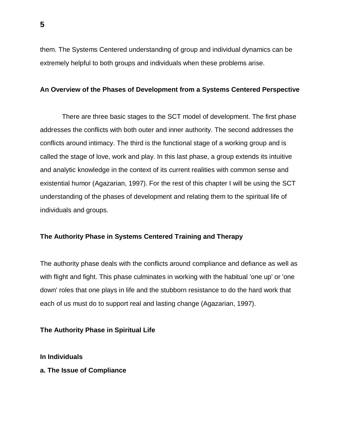them. The Systems Centered understanding of group and individual dynamics can be extremely helpful to both groups and individuals when these problems arise.

# **An Overview of the Phases of Development from a Systems Centered Perspective**

 There are three basic stages to the SCT model of development. The first phase addresses the conflicts with both outer and inner authority. The second addresses the conflicts around intimacy. The third is the functional stage of a working group and is called the stage of love, work and play. In this last phase, a group extends its intuitive and analytic knowledge in the context of its current realities with common sense and existential humor (Agazarian, 1997). For the rest of this chapter I will be using the SCT understanding of the phases of development and relating them to the spiritual life of individuals and groups.

# **The Authority Phase in Systems Centered Training and Therapy**

The authority phase deals with the conflicts around compliance and defiance as well as with flight and fight. This phase culminates in working with the habitual 'one up' or 'one down' roles that one plays in life and the stubborn resistance to do the hard work that each of us must do to support real and lasting change (Agazarian, 1997).

### **The Authority Phase in Spiritual Life**

**In Individuals**

**a. The Issue of Compliance**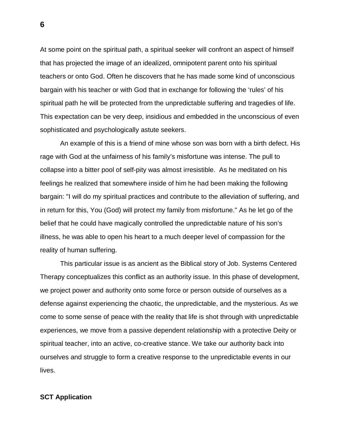At some point on the spiritual path, a spiritual seeker will confront an aspect of himself that has projected the image of an idealized, omnipotent parent onto his spiritual teachers or onto God. Often he discovers that he has made some kind of unconscious bargain with his teacher or with God that in exchange for following the 'rules' of his spiritual path he will be protected from the unpredictable suffering and tragedies of life. This expectation can be very deep, insidious and embedded in the unconscious of even sophisticated and psychologically astute seekers.

 An example of this is a friend of mine whose son was born with a birth defect. His rage with God at the unfairness of his family's misfortune was intense. The pull to collapse into a bitter pool of self-pity was almost irresistible. As he meditated on his feelings he realized that somewhere inside of him he had been making the following bargain: "I will do my spiritual practices and contribute to the alleviation of suffering, and in return for this, You (God) will protect my family from misfortune." As he let go of the belief that he could have magically controlled the unpredictable nature of his son's illness, he was able to open his heart to a much deeper level of compassion for the reality of human suffering.

 This particular issue is as ancient as the Biblical story of Job. Systems Centered Therapy conceptualizes this conflict as an authority issue. In this phase of development, we project power and authority onto some force or person outside of ourselves as a defense against experiencing the chaotic, the unpredictable, and the mysterious. As we come to some sense of peace with the reality that life is shot through with unpredictable experiences, we move from a passive dependent relationship with a protective Deity or spiritual teacher, into an active, co-creative stance. We take our authority back into ourselves and struggle to form a creative response to the unpredictable events in our lives.

### **SCT Application**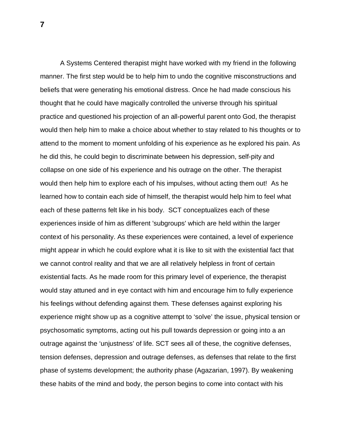A Systems Centered therapist might have worked with my friend in the following manner. The first step would be to help him to undo the cognitive misconstructions and beliefs that were generating his emotional distress. Once he had made conscious his thought that he could have magically controlled the universe through his spiritual practice and questioned his projection of an all-powerful parent onto God, the therapist would then help him to make a choice about whether to stay related to his thoughts or to attend to the moment to moment unfolding of his experience as he explored his pain. As he did this, he could begin to discriminate between his depression, self-pity and collapse on one side of his experience and his outrage on the other. The therapist would then help him to explore each of his impulses, without acting them out! As he learned how to contain each side of himself, the therapist would help him to feel what each of these patterns felt like in his body. SCT conceptualizes each of these experiences inside of him as different 'subgroups' which are held within the larger context of his personality. As these experiences were contained, a level of experience might appear in which he could explore what it is like to sit with the existential fact that we cannot control reality and that we are all relatively helpless in front of certain existential facts. As he made room for this primary level of experience, the therapist would stay attuned and in eye contact with him and encourage him to fully experience his feelings without defending against them. These defenses against exploring his experience might show up as a cognitive attempt to 'solve' the issue, physical tension or psychosomatic symptoms, acting out his pull towards depression or going into a an outrage against the 'unjustness' of life. SCT sees all of these, the cognitive defenses, tension defenses, depression and outrage defenses, as defenses that relate to the first phase of systems development; the authority phase (Agazarian, 1997). By weakening these habits of the mind and body, the person begins to come into contact with his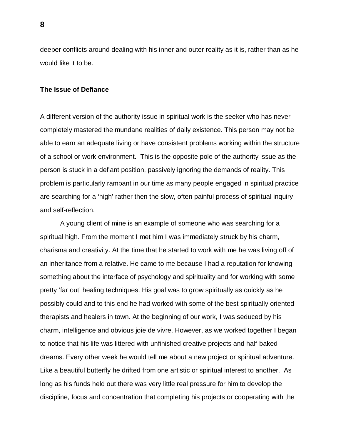deeper conflicts around dealing with his inner and outer reality as it is, rather than as he would like it to be.

#### **The Issue of Defiance**

A different version of the authority issue in spiritual work is the seeker who has never completely mastered the mundane realities of daily existence. This person may not be able to earn an adequate living or have consistent problems working within the structure of a school or work environment. This is the opposite pole of the authority issue as the person is stuck in a defiant position, passively ignoring the demands of reality. This problem is particularly rampant in our time as many people engaged in spiritual practice are searching for a 'high' rather then the slow, often painful process of spiritual inquiry and self-reflection.

 A young client of mine is an example of someone who was searching for a spiritual high. From the moment I met him I was immediately struck by his charm, charisma and creativity. At the time that he started to work with me he was living off of an inheritance from a relative. He came to me because I had a reputation for knowing something about the interface of psychology and spirituality and for working with some pretty 'far out' healing techniques. His goal was to grow spiritually as quickly as he possibly could and to this end he had worked with some of the best spiritually oriented therapists and healers in town. At the beginning of our work, I was seduced by his charm, intelligence and obvious joie de vivre. However, as we worked together I began to notice that his life was littered with unfinished creative projects and half-baked dreams. Every other week he would tell me about a new project or spiritual adventure. Like a beautiful butterfly he drifted from one artistic or spiritual interest to another. As long as his funds held out there was very little real pressure for him to develop the discipline, focus and concentration that completing his projects or cooperating with the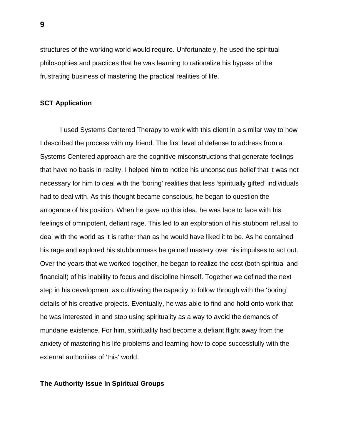structures of the working world would require. Unfortunately, he used the spiritual philosophies and practices that he was learning to rationalize his bypass of the frustrating business of mastering the practical realities of life.

# **SCT Application**

 I used Systems Centered Therapy to work with this client in a similar way to how I described the process with my friend. The first level of defense to address from a Systems Centered approach are the cognitive misconstructions that generate feelings that have no basis in reality. I helped him to notice his unconscious belief that it was not necessary for him to deal with the 'boring' realities that less 'spiritually gifted' individuals had to deal with. As this thought became conscious, he began to question the arrogance of his position. When he gave up this idea, he was face to face with his feelings of omnipotent, defiant rage. This led to an exploration of his stubborn refusal to deal with the world as it is rather than as he would have liked it to be. As he contained his rage and explored his stubbornness he gained mastery over his impulses to act out. Over the years that we worked together, he began to realize the cost (both spiritual and financial!) of his inability to focus and discipline himself. Together we defined the next step in his development as cultivating the capacity to follow through with the 'boring' details of his creative projects. Eventually, he was able to find and hold onto work that he was interested in and stop using spirituality as a way to avoid the demands of mundane existence. For him, spirituality had become a defiant flight away from the anxiety of mastering his life problems and learning how to cope successfully with the external authorities of 'this' world.

## **The Authority Issue In Spiritual Groups**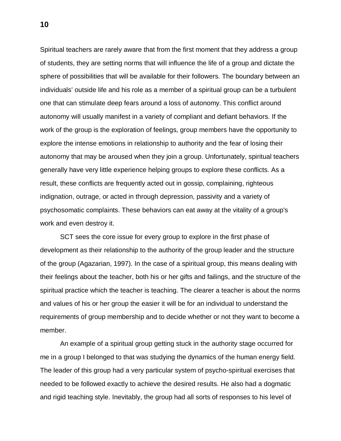Spiritual teachers are rarely aware that from the first moment that they address a group of students, they are setting norms that will influence the life of a group and dictate the sphere of possibilities that will be available for their followers. The boundary between an individuals' outside life and his role as a member of a spiritual group can be a turbulent one that can stimulate deep fears around a loss of autonomy. This conflict around autonomy will usually manifest in a variety of compliant and defiant behaviors. If the work of the group is the exploration of feelings, group members have the opportunity to explore the intense emotions in relationship to authority and the fear of losing their autonomy that may be aroused when they join a group. Unfortunately, spiritual teachers generally have very little experience helping groups to explore these conflicts. As a result, these conflicts are frequently acted out in gossip, complaining, righteous indignation, outrage, or acted in through depression, passivity and a variety of psychosomatic complaints. These behaviors can eat away at the vitality of a group's work and even destroy it.

 SCT sees the core issue for every group to explore in the first phase of development as their relationship to the authority of the group leader and the structure of the group (Agazarian, 1997). In the case of a spiritual group, this means dealing with their feelings about the teacher, both his or her gifts and failings, and the structure of the spiritual practice which the teacher is teaching. The clearer a teacher is about the norms and values of his or her group the easier it will be for an individual to understand the requirements of group membership and to decide whether or not they want to become a member.

 An example of a spiritual group getting stuck in the authority stage occurred for me in a group I belonged to that was studying the dynamics of the human energy field. The leader of this group had a very particular system of psycho-spiritual exercises that needed to be followed exactly to achieve the desired results. He also had a dogmatic and rigid teaching style. Inevitably, the group had all sorts of responses to his level of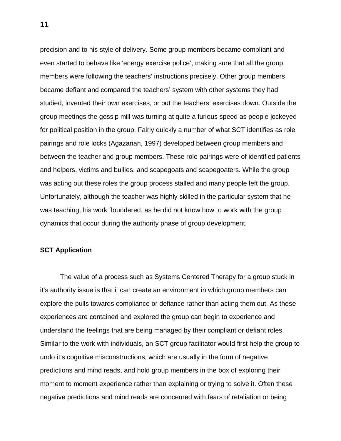precision and to his style of delivery. Some group members became compliant and even started to behave like 'energy exercise police', making sure that all the group members were following the teachers' instructions precisely. Other group members became defiant and compared the teachers' system with other systems they had studied, invented their own exercises, or put the teachers' exercises down. Outside the group meetings the gossip mill was turning at quite a furious speed as people jockeyed for political position in the group. Fairly quickly a number of what SCT identifies as role pairings and role locks (Agazarian, 1997) developed between group members and between the teacher and group members. These role pairings were of identified patients and helpers, victims and bullies, and scapegoats and scapegoaters. While the group was acting out these roles the group process stalled and many people left the group. Unfortunately, although the teacher was highly skilled in the particular system that he was teaching, his work floundered, as he did not know how to work with the group dynamics that occur during the authority phase of group development.

# **SCT Application**

 The value of a process such as Systems Centered Therapy for a group stuck in it's authority issue is that it can create an environment in which group members can explore the pulls towards compliance or defiance rather than acting them out. As these experiences are contained and explored the group can begin to experience and understand the feelings that are being managed by their compliant or defiant roles. Similar to the work with individuals, an SCT group facilitator would first help the group to undo it's cognitive misconstructions, which are usually in the form of negative predictions and mind reads, and hold group members in the box of exploring their moment to moment experience rather than explaining or trying to solve it. Often these negative predictions and mind reads are concerned with fears of retaliation or being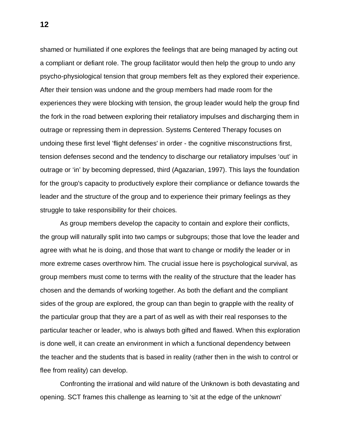shamed or humiliated if one explores the feelings that are being managed by acting out a compliant or defiant role. The group facilitator would then help the group to undo any psycho-physiological tension that group members felt as they explored their experience. After their tension was undone and the group members had made room for the experiences they were blocking with tension, the group leader would help the group find the fork in the road between exploring their retaliatory impulses and discharging them in outrage or repressing them in depression. Systems Centered Therapy focuses on undoing these first level 'flight defenses' in order - the cognitive misconstructions first, tension defenses second and the tendency to discharge our retaliatory impulses 'out' in outrage or 'in' by becoming depressed, third (Agazarian, 1997). This lays the foundation for the group's capacity to productively explore their compliance or defiance towards the leader and the structure of the group and to experience their primary feelings as they struggle to take responsibility for their choices.

 As group members develop the capacity to contain and explore their conflicts, the group will naturally split into two camps or subgroups; those that love the leader and agree with what he is doing, and those that want to change or modify the leader or in more extreme cases overthrow him. The crucial issue here is psychological survival, as group members must come to terms with the reality of the structure that the leader has chosen and the demands of working together. As both the defiant and the compliant sides of the group are explored, the group can than begin to grapple with the reality of the particular group that they are a part of as well as with their real responses to the particular teacher or leader, who is always both gifted and flawed. When this exploration is done well, it can create an environment in which a functional dependency between the teacher and the students that is based in reality (rather then in the wish to control or flee from reality) can develop.

 Confronting the irrational and wild nature of the Unknown is both devastating and opening. SCT frames this challenge as learning to 'sit at the edge of the unknown'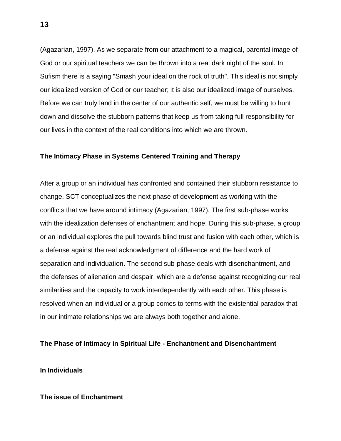(Agazarian, 1997). As we separate from our attachment to a magical, parental image of God or our spiritual teachers we can be thrown into a real dark night of the soul. In Sufism there is a saying "Smash your ideal on the rock of truth". This ideal is not simply our idealized version of God or our teacher; it is also our idealized image of ourselves. Before we can truly land in the center of our authentic self, we must be willing to hunt down and dissolve the stubborn patterns that keep us from taking full responsibility for our lives in the context of the real conditions into which we are thrown.

## **The Intimacy Phase in Systems Centered Training and Therapy**

After a group or an individual has confronted and contained their stubborn resistance to change, SCT conceptualizes the next phase of development as working with the conflicts that we have around intimacy (Agazarian, 1997). The first sub-phase works with the idealization defenses of enchantment and hope. During this sub-phase, a group or an individual explores the pull towards blind trust and fusion with each other, which is a defense against the real acknowledgment of difference and the hard work of separation and individuation. The second sub-phase deals with disenchantment, and the defenses of alienation and despair, which are a defense against recognizing our real similarities and the capacity to work interdependently with each other. This phase is resolved when an individual or a group comes to terms with the existential paradox that in our intimate relationships we are always both together and alone.

## **The Phase of Intimacy in Spiritual Life - Enchantment and Disenchantment**

**In Individuals**

## **The issue of Enchantment**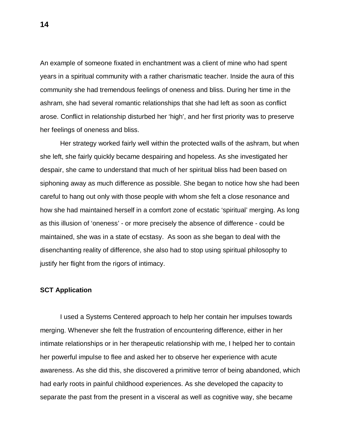An example of someone fixated in enchantment was a client of mine who had spent years in a spiritual community with a rather charismatic teacher. Inside the aura of this community she had tremendous feelings of oneness and bliss. During her time in the ashram, she had several romantic relationships that she had left as soon as conflict arose. Conflict in relationship disturbed her 'high', and her first priority was to preserve her feelings of oneness and bliss.

 Her strategy worked fairly well within the protected walls of the ashram, but when she left, she fairly quickly became despairing and hopeless. As she investigated her despair, she came to understand that much of her spiritual bliss had been based on siphoning away as much difference as possible. She began to notice how she had been careful to hang out only with those people with whom she felt a close resonance and how she had maintained herself in a comfort zone of ecstatic 'spiritual' merging. As long as this illusion of 'oneness' - or more precisely the absence of difference - could be maintained, she was in a state of ecstasy. As soon as she began to deal with the disenchanting reality of difference, she also had to stop using spiritual philosophy to justify her flight from the rigors of intimacy.

#### **SCT Application**

I used a Systems Centered approach to help her contain her impulses towards merging. Whenever she felt the frustration of encountering difference, either in her intimate relationships or in her therapeutic relationship with me, I helped her to contain her powerful impulse to flee and asked her to observe her experience with acute awareness. As she did this, she discovered a primitive terror of being abandoned, which had early roots in painful childhood experiences. As she developed the capacity to separate the past from the present in a visceral as well as cognitive way, she became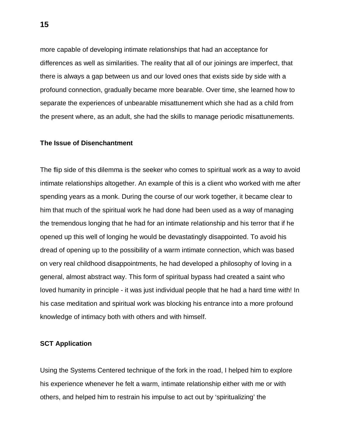more capable of developing intimate relationships that had an acceptance for differences as well as similarities. The reality that all of our joinings are imperfect, that there is always a gap between us and our loved ones that exists side by side with a profound connection, gradually became more bearable. Over time, she learned how to separate the experiences of unbearable misattunement which she had as a child from the present where, as an adult, she had the skills to manage periodic misattunements.

#### **The Issue of Disenchantment**

The flip side of this dilemma is the seeker who comes to spiritual work as a way to avoid intimate relationships altogether. An example of this is a client who worked with me after spending years as a monk. During the course of our work together, it became clear to him that much of the spiritual work he had done had been used as a way of managing the tremendous longing that he had for an intimate relationship and his terror that if he opened up this well of longing he would be devastatingly disappointed. To avoid his dread of opening up to the possibility of a warm intimate connection, which was based on very real childhood disappointments, he had developed a philosophy of loving in a general, almost abstract way. This form of spiritual bypass had created a saint who loved humanity in principle - it was just individual people that he had a hard time with! In his case meditation and spiritual work was blocking his entrance into a more profound knowledge of intimacy both with others and with himself.

# **SCT Application**

Using the Systems Centered technique of the fork in the road, I helped him to explore his experience whenever he felt a warm, intimate relationship either with me or with others, and helped him to restrain his impulse to act out by 'spiritualizing' the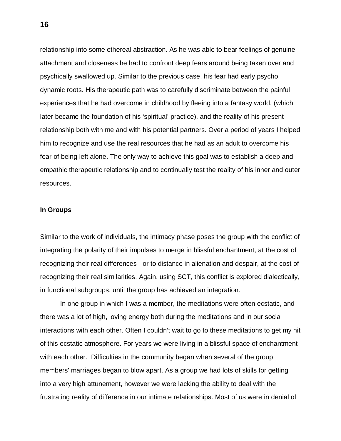relationship into some ethereal abstraction. As he was able to bear feelings of genuine attachment and closeness he had to confront deep fears around being taken over and psychically swallowed up. Similar to the previous case, his fear had early psycho dynamic roots. His therapeutic path was to carefully discriminate between the painful experiences that he had overcome in childhood by fleeing into a fantasy world, (which later became the foundation of his 'spiritual' practice), and the reality of his present relationship both with me and with his potential partners. Over a period of years I helped him to recognize and use the real resources that he had as an adult to overcome his fear of being left alone. The only way to achieve this goal was to establish a deep and empathic therapeutic relationship and to continually test the reality of his inner and outer resources.

#### **In Groups**

Similar to the work of individuals, the intimacy phase poses the group with the conflict of integrating the polarity of their impulses to merge in blissful enchantment, at the cost of recognizing their real differences - or to distance in alienation and despair, at the cost of recognizing their real similarities. Again, using SCT, this conflict is explored dialectically, in functional subgroups, until the group has achieved an integration.

 In one group in which I was a member, the meditations were often ecstatic, and there was a lot of high, loving energy both during the meditations and in our social interactions with each other. Often I couldn't wait to go to these meditations to get my hit of this ecstatic atmosphere. For years we were living in a blissful space of enchantment with each other. Difficulties in the community began when several of the group members' marriages began to blow apart. As a group we had lots of skills for getting into a very high attunement, however we were lacking the ability to deal with the frustrating reality of difference in our intimate relationships. Most of us were in denial of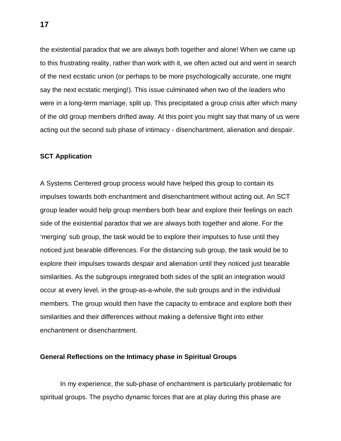the existential paradox that we are always both together and alone! When we came up to this frustrating reality, rather than work with it, we often acted out and went in search of the next ecstatic union (or perhaps to be more psychologically accurate, one might say the next ecstatic merging!). This issue culminated when two of the leaders who were in a long-term marriage, split up. This precipitated a group crisis after which many of the old group members drifted away. At this point you might say that many of us were acting out the second sub phase of intimacy - disenchantment, alienation and despair.

## **SCT Application**

A Systems Centered group process would have helped this group to contain its impulses towards both enchantment and disenchantment without acting out. An SCT group leader would help group members both bear and explore their feelings on each side of the existential paradox that we are always both together and alone. For the 'merging' sub group, the task would be to explore their impulses to fuse until they noticed just bearable differences. For the distancing sub group, the task would be to explore their impulses towards despair and alienation until they noticed just bearable similarities. As the subgroups integrated both sides of the split an integration would occur at every level, in the group-as-a-whole, the sub groups and in the individual members. The group would then have the capacity to embrace and explore both their similarities and their differences without making a defensive flight into either enchantment or disenchantment.

### **General Reflections on the Intimacy phase in Spiritual Groups**

 In my experience, the sub-phase of enchantment is particularly problematic for spiritual groups. The psycho dynamic forces that are at play during this phase are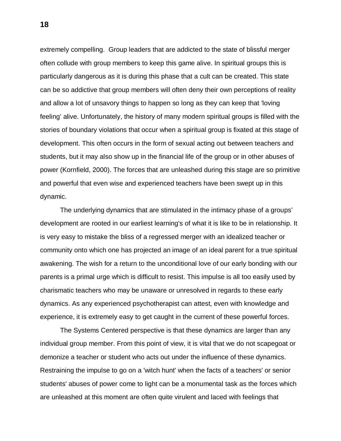extremely compelling. Group leaders that are addicted to the state of blissful merger often collude with group members to keep this game alive. In spiritual groups this is particularly dangerous as it is during this phase that a cult can be created. This state can be so addictive that group members will often deny their own perceptions of reality and allow a lot of unsavory things to happen so long as they can keep that 'loving feeling' alive. Unfortunately, the history of many modern spiritual groups is filled with the stories of boundary violations that occur when a spiritual group is fixated at this stage of development. This often occurs in the form of sexual acting out between teachers and students, but it may also show up in the financial life of the group or in other abuses of power (Kornfield, 2000). The forces that are unleashed during this stage are so primitive and powerful that even wise and experienced teachers have been swept up in this dynamic.

 The underlying dynamics that are stimulated in the intimacy phase of a groups' development are rooted in our earliest learning's of what it is like to be in relationship. It is very easy to mistake the bliss of a regressed merger with an idealized teacher or community onto which one has projected an image of an ideal parent for a true spiritual awakening. The wish for a return to the unconditional love of our early bonding with our parents is a primal urge which is difficult to resist. This impulse is all too easily used by charismatic teachers who may be unaware or unresolved in regards to these early dynamics. As any experienced psychotherapist can attest, even with knowledge and experience, it is extremely easy to get caught in the current of these powerful forces.

 The Systems Centered perspective is that these dynamics are larger than any individual group member. From this point of view, it is vital that we do not scapegoat or demonize a teacher or student who acts out under the influence of these dynamics. Restraining the impulse to go on a 'witch hunt' when the facts of a teachers' or senior students' abuses of power come to light can be a monumental task as the forces which are unleashed at this moment are often quite virulent and laced with feelings that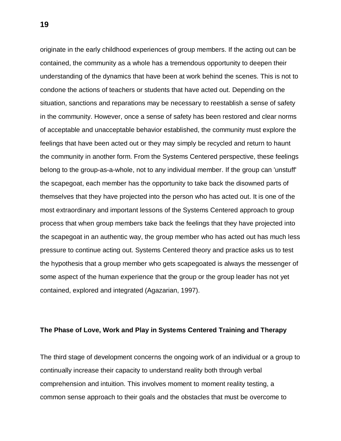originate in the early childhood experiences of group members. If the acting out can be contained, the community as a whole has a tremendous opportunity to deepen their understanding of the dynamics that have been at work behind the scenes. This is not to condone the actions of teachers or students that have acted out. Depending on the situation, sanctions and reparations may be necessary to reestablish a sense of safety in the community. However, once a sense of safety has been restored and clear norms of acceptable and unacceptable behavior established, the community must explore the feelings that have been acted out or they may simply be recycled and return to haunt the community in another form. From the Systems Centered perspective, these feelings belong to the group-as-a-whole, not to any individual member. If the group can 'unstuff' the scapegoat, each member has the opportunity to take back the disowned parts of themselves that they have projected into the person who has acted out. It is one of the most extraordinary and important lessons of the Systems Centered approach to group process that when group members take back the feelings that they have projected into the scapegoat in an authentic way, the group member who has acted out has much less pressure to continue acting out. Systems Centered theory and practice asks us to test the hypothesis that a group member who gets scapegoated is always the messenger of some aspect of the human experience that the group or the group leader has not yet contained, explored and integrated (Agazarian, 1997).

#### **The Phase of Love, Work and Play in Systems Centered Training and Therapy**

The third stage of development concerns the ongoing work of an individual or a group to continually increase their capacity to understand reality both through verbal comprehension and intuition. This involves moment to moment reality testing, a common sense approach to their goals and the obstacles that must be overcome to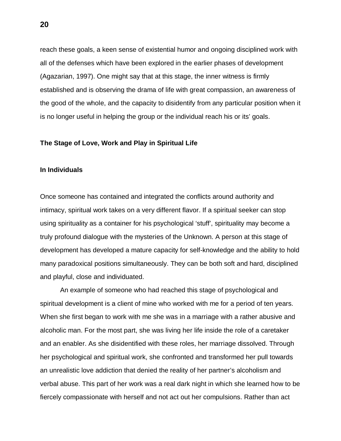reach these goals, a keen sense of existential humor and ongoing disciplined work with all of the defenses which have been explored in the earlier phases of development (Agazarian, 1997). One might say that at this stage, the inner witness is firmly established and is observing the drama of life with great compassion, an awareness of the good of the whole, and the capacity to disidentify from any particular position when it is no longer useful in helping the group or the individual reach his or its' goals.

#### **The Stage of Love, Work and Play in Spiritual Life**

#### **In Individuals**

Once someone has contained and integrated the conflicts around authority and intimacy, spiritual work takes on a very different flavor. If a spiritual seeker can stop using spirituality as a container for his psychological 'stuff', spirituality may become a truly profound dialogue with the mysteries of the Unknown. A person at this stage of development has developed a mature capacity for self-knowledge and the ability to hold many paradoxical positions simultaneously. They can be both soft and hard, disciplined and playful, close and individuated.

 An example of someone who had reached this stage of psychological and spiritual development is a client of mine who worked with me for a period of ten years. When she first began to work with me she was in a marriage with a rather abusive and alcoholic man. For the most part, she was living her life inside the role of a caretaker and an enabler. As she disidentified with these roles, her marriage dissolved. Through her psychological and spiritual work, she confronted and transformed her pull towards an unrealistic love addiction that denied the reality of her partner's alcoholism and verbal abuse. This part of her work was a real dark night in which she learned how to be fiercely compassionate with herself and not act out her compulsions. Rather than act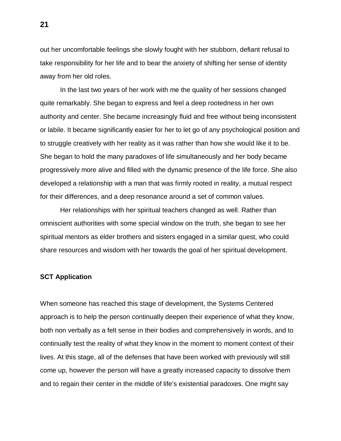out her uncomfortable feelings she slowly fought with her stubborn, defiant refusal to take responsibility for her life and to bear the anxiety of shifting her sense of identity away from her old roles.

 In the last two years of her work with me the quality of her sessions changed quite remarkably. She began to express and feel a deep rootedness in her own authority and center. She became increasingly fluid and free without being inconsistent or labile. It became significantly easier for her to let go of any psychological position and to struggle creatively with her reality as it was rather than how she would like it to be. She began to hold the many paradoxes of life simultaneously and her body became progressively more alive and filled with the dynamic presence of the life force. She also developed a relationship with a man that was firmly rooted in reality, a mutual respect for their differences, and a deep resonance around a set of common values.

 Her relationships with her spiritual teachers changed as well. Rather than omniscient authorities with some special window on the truth, she began to see her spiritual mentors as elder brothers and sisters engaged in a similar quest, who could share resources and wisdom with her towards the goal of her spiritual development.

## **SCT Application**

When someone has reached this stage of development, the Systems Centered approach is to help the person continually deepen their experience of what they know, both non verbally as a felt sense in their bodies and comprehensively in words, and to continually test the reality of what they know in the moment to moment context of their lives. At this stage, all of the defenses that have been worked with previously will still come up, however the person will have a greatly increased capacity to dissolve them and to regain their center in the middle of life's existential paradoxes. One might say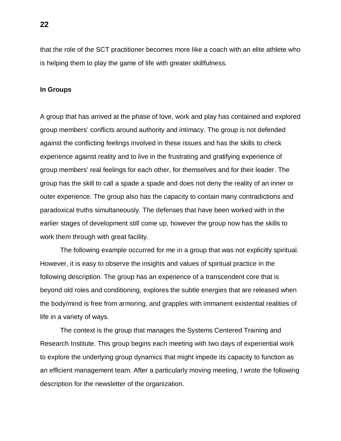that the role of the SCT practitioner becomes more like a coach with an elite athlete who is helping them to play the game of life with greater skillfulness.

#### **In Groups**

A group that has arrived at the phase of love, work and play has contained and explored group members' conflicts around authority and intimacy. The group is not defended against the conflicting feelings involved in these issues and has the skills to check experience against reality and to live in the frustrating and gratifying experience of group members' real feelings for each other, for themselves and for their leader. The group has the skill to call a spade a spade and does not deny the reality of an inner or outer experience. The group also has the capacity to contain many contradictions and paradoxical truths simultaneously. The defenses that have been worked with in the earlier stages of development still come up, however the group now has the skills to work them through with great facility.

 The following example occurred for me in a group that was not explicitly spiritual. However, it is easy to observe the insights and values of spiritual practice in the following description. The group has an experience of a transcendent core that is beyond old roles and conditioning, explores the subtle energies that are released when the body/mind is free from armoring, and grapples with immanent existential realities of life in a variety of ways.

 The context is the group that manages the Systems Centered Training and Research Institute. This group begins each meeting with two days of experiential work to explore the underlying group dynamics that might impede its capacity to function as an efficient management team. After a particularly moving meeting, I wrote the following description for the newsletter of the organization.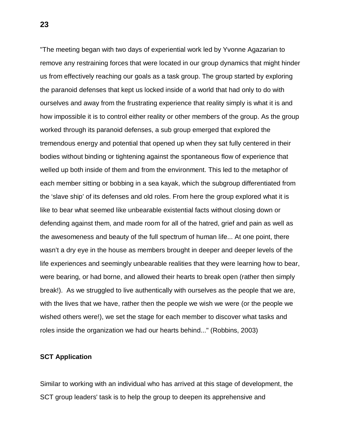"The meeting began with two days of experiential work led by Yvonne Agazarian to remove any restraining forces that were located in our group dynamics that might hinder us from effectively reaching our goals as a task group. The group started by exploring the paranoid defenses that kept us locked inside of a world that had only to do with ourselves and away from the frustrating experience that reality simply is what it is and how impossible it is to control either reality or other members of the group. As the group worked through its paranoid defenses, a sub group emerged that explored the tremendous energy and potential that opened up when they sat fully centered in their bodies without binding or tightening against the spontaneous flow of experience that welled up both inside of them and from the environment. This led to the metaphor of each member sitting or bobbing in a sea kayak, which the subgroup differentiated from the 'slave ship' of its defenses and old roles. From here the group explored what it is like to bear what seemed like unbearable existential facts without closing down or defending against them, and made room for all of the hatred, grief and pain as well as the awesomeness and beauty of the full spectrum of human life... At one point, there wasn't a dry eye in the house as members brought in deeper and deeper levels of the life experiences and seemingly unbearable realities that they were learning how to bear, were bearing, or had borne, and allowed their hearts to break open (rather then simply break!). As we struggled to live authentically with ourselves as the people that we are, with the lives that we have, rather then the people we wish we were (or the people we wished others were!), we set the stage for each member to discover what tasks and roles inside the organization we had our hearts behind..." (Robbins, 2003)

# **SCT Application**

Similar to working with an individual who has arrived at this stage of development, the SCT group leaders' task is to help the group to deepen its apprehensive and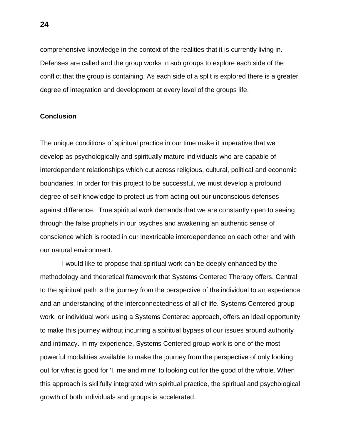comprehensive knowledge in the context of the realities that it is currently living in. Defenses are called and the group works in sub groups to explore each side of the conflict that the group is containing. As each side of a split is explored there is a greater degree of integration and development at every level of the groups life.

# **Conclusion**

The unique conditions of spiritual practice in our time make it imperative that we develop as psychologically and spiritually mature individuals who are capable of interdependent relationships which cut across religious, cultural, political and economic boundaries. In order for this project to be successful, we must develop a profound degree of self-knowledge to protect us from acting out our unconscious defenses against difference. True spiritual work demands that we are constantly open to seeing through the false prophets in our psyches and awakening an authentic sense of conscience which is rooted in our inextricable interdependence on each other and with our natural environment.

 I would like to propose that spiritual work can be deeply enhanced by the methodology and theoretical framework that Systems Centered Therapy offers. Central to the spiritual path is the journey from the perspective of the individual to an experience and an understanding of the interconnectedness of all of life. Systems Centered group work, or individual work using a Systems Centered approach, offers an ideal opportunity to make this journey without incurring a spiritual bypass of our issues around authority and intimacy. In my experience, Systems Centered group work is one of the most powerful modalities available to make the journey from the perspective of only looking out for what is good for 'I, me and mine' to looking out for the good of the whole. When this approach is skillfully integrated with spiritual practice, the spiritual and psychological growth of both individuals and groups is accelerated.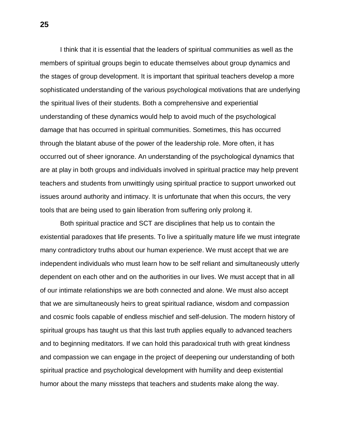I think that it is essential that the leaders of spiritual communities as well as the members of spiritual groups begin to educate themselves about group dynamics and the stages of group development. It is important that spiritual teachers develop a more sophisticated understanding of the various psychological motivations that are underlying the spiritual lives of their students. Both a comprehensive and experiential understanding of these dynamics would help to avoid much of the psychological damage that has occurred in spiritual communities. Sometimes, this has occurred through the blatant abuse of the power of the leadership role. More often, it has occurred out of sheer ignorance. An understanding of the psychological dynamics that are at play in both groups and individuals involved in spiritual practice may help prevent teachers and students from unwittingly using spiritual practice to support unworked out issues around authority and intimacy. It is unfortunate that when this occurs, the very tools that are being used to gain liberation from suffering only prolong it.

 Both spiritual practice and SCT are disciplines that help us to contain the existential paradoxes that life presents. To live a spiritually mature life we must integrate many contradictory truths about our human experience. We must accept that we are independent individuals who must learn how to be self reliant and simultaneously utterly dependent on each other and on the authorities in our lives. We must accept that in all of our intimate relationships we are both connected and alone. We must also accept that we are simultaneously heirs to great spiritual radiance, wisdom and compassion and cosmic fools capable of endless mischief and self-delusion. The modern history of spiritual groups has taught us that this last truth applies equally to advanced teachers and to beginning meditators. If we can hold this paradoxical truth with great kindness and compassion we can engage in the project of deepening our understanding of both spiritual practice and psychological development with humility and deep existential humor about the many missteps that teachers and students make along the way.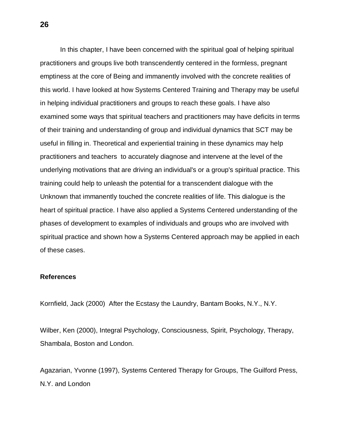In this chapter, I have been concerned with the spiritual goal of helping spiritual practitioners and groups live both transcendently centered in the formless, pregnant emptiness at the core of Being and immanently involved with the concrete realities of this world. I have looked at how Systems Centered Training and Therapy may be useful in helping individual practitioners and groups to reach these goals. I have also examined some ways that spiritual teachers and practitioners may have deficits in terms of their training and understanding of group and individual dynamics that SCT may be useful in filling in. Theoretical and experiential training in these dynamics may help practitioners and teachers to accurately diagnose and intervene at the level of the underlying motivations that are driving an individual's or a group's spiritual practice. This training could help to unleash the potential for a transcendent dialogue with the Unknown that immanently touched the concrete realities of life. This dialogue is the heart of spiritual practice. I have also applied a Systems Centered understanding of the phases of development to examples of individuals and groups who are involved with spiritual practice and shown how a Systems Centered approach may be applied in each of these cases.

#### **References**

Kornfield, Jack (2000) After the Ecstasy the Laundry, Bantam Books, N.Y., N.Y.

Wilber, Ken (2000), Integral Psychology, Consciousness, Spirit, Psychology, Therapy, Shambala, Boston and London.

Agazarian, Yvonne (1997), Systems Centered Therapy for Groups, The Guilford Press, N.Y. and London